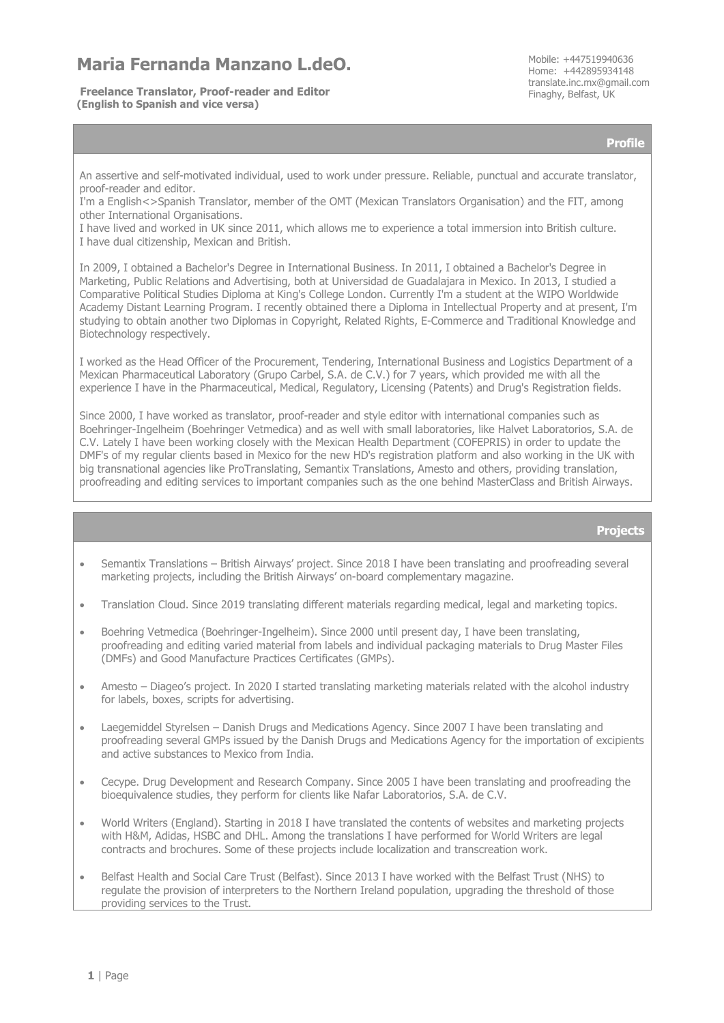## Maria Fernanda Manzano L.deO.

**Freelance Translator, Proof-reader and Editor** Free Construction Changer Finaghy, Belfast, UK **(English to Spanish and vice versa)**

Home: +442895934148 translate.inc.mx@gmail.com

**Profile**

An assertive and self-motivated individual, used to work under pressure. Reliable, punctual and accurate translator, proof-reader and editor.

I'm a English<>Spanish Translator, member of the OMT (Mexican Translators Organisation) and the FIT, among other International Organisations.

I have lived and worked in UK since 2011, which allows me to experience a total immersion into British culture. I have dual citizenship, Mexican and British.

In 2009, I obtained a Bachelor's Degree in International Business. In 2011, I obtained a Bachelor's Degree in Marketing, Public Relations and Advertising, both at Universidad de Guadalajara in Mexico. In 2013, I studied a Comparative Political Studies Diploma at King's College London. Currently I'm a student at the WIPO Worldwide Academy Distant Learning Program. I recently obtained there a Diploma in Intellectual Property and at present, I'm studying to obtain another two Diplomas in Copyright, Related Rights, E-Commerce and Traditional Knowledge and Biotechnology respectively.

I worked as the Head Officer of the Procurement, Tendering, International Business and Logistics Department of a Mexican Pharmaceutical Laboratory (Grupo Carbel, S.A. de C.V.) for 7 years, which provided me with all the experience I have in the Pharmaceutical, Medical, Regulatory, Licensing (Patents) and Drug's Registration fields.

Since 2000, I have worked as translator, proof-reader and style editor with international companies such as Boehringer-Ingelheim (Boehringer Vetmedica) and as well with small laboratories, like Halvet Laboratorios, S.A. de C.V. Lately I have been working closely with the Mexican Health Department (COFEPRIS) in order to update the DMF's of my regular clients based in Mexico for the new HD's registration platform and also working in the UK with big transnational agencies like ProTranslating, Semantix Translations, Amesto and others, providing translation, proofreading and editing services to important companies such as the one behind MasterClass and British Airways.

## **Projects**

- Semantix Translations British Airways' project. Since 2018 I have been translating and proofreading several marketing projects, including the British Airways' on-board complementary magazine.
- Translation Cloud. Since 2019 translating different materials regarding medical, legal and marketing topics.
- Boehring Vetmedica (Boehringer-Ingelheim). Since 2000 until present day, I have been translating, proofreading and editing varied material from labels and individual packaging materials to Drug Master Files (DMFs) and Good Manufacture Practices Certificates (GMPs).
- Amesto Diageo's project. In 2020 I started translating marketing materials related with the alcohol industry for labels, boxes, scripts for advertising.
- Laegemiddel Styrelsen Danish Drugs and Medications Agency. Since 2007 I have been translating and proofreading several GMPs issued by the Danish Drugs and Medications Agency for the importation of excipients and active substances to Mexico from India.
- Cecype. Drug Development and Research Company. Since 2005 I have been translating and proofreading the bioequivalence studies, they perform for clients like Nafar Laboratorios, S.A. de C.V.
- World Writers (England). Starting in 2018 I have translated the contents of websites and marketing projects with H&M, Adidas, HSBC and DHL. Among the translations I have performed for World Writers are legal contracts and brochures. Some of these projects include localization and transcreation work.
- Belfast Health and Social Care Trust (Belfast). Since 2013 I have worked with the Belfast Trust (NHS) to regulate the provision of interpreters to the Northern Ireland population, upgrading the threshold of those providing services to the Trust.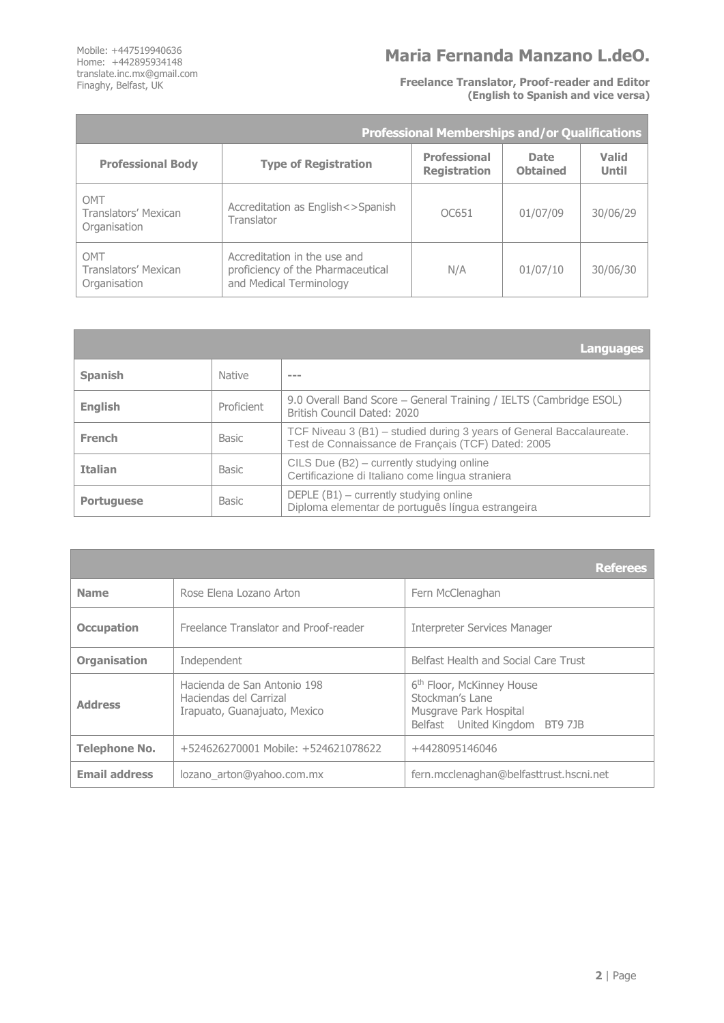Mobile: +447519940636 Home: +442895934148 translate.inc.mx@gmail.com Finaghy, Belfast, UK

<u> Tanzania (h. 1888).</u>

## **Maria Fernanda Manzano L.deO.**

**Freelance Translator, Proof-reader and Editor (English to Spanish and vice versa)**

|                                             | <b>Professional Memberships and/or Qualifications</b>                                        |                                            |                                |                       |  |
|---------------------------------------------|----------------------------------------------------------------------------------------------|--------------------------------------------|--------------------------------|-----------------------|--|
| <b>Professional Body</b>                    | <b>Type of Registration</b>                                                                  | <b>Professional</b><br><b>Registration</b> | <b>Date</b><br><b>Obtained</b> | Valid<br><b>Until</b> |  |
| OMT<br>Translators' Mexican<br>Organisation | Accreditation as English<>Spanish<br>Translator                                              | OC651                                      | 01/07/09                       | 30/06/29              |  |
| OMT<br>Translators' Mexican<br>Organisation | Accreditation in the use and<br>proficiency of the Pharmaceutical<br>and Medical Terminology | N/A                                        | 01/07/10                       | 30/06/30              |  |

|                   |               | 'Languages                                                                                                                 |
|-------------------|---------------|----------------------------------------------------------------------------------------------------------------------------|
| <b>Spanish</b>    | <b>Native</b> | ---                                                                                                                        |
| <b>English</b>    | Proficient    | 9.0 Overall Band Score - General Training / IELTS (Cambridge ESOL)<br>British Council Dated: 2020                          |
| <b>French</b>     | <b>Basic</b>  | TCF Niveau 3 (B1) – studied during 3 years of General Baccalaureate.<br>Test de Connaissance de Français (TCF) Dated: 2005 |
| <b>Italian</b>    | <b>Basic</b>  | CILS Due (B2) – currently studying online<br>Certificazione di Italiano come lingua straniera                              |
| <b>Portuguese</b> | <b>Basic</b>  | DEPLE $(B1)$ – currently studying online<br>Diploma elementar de português língua estrangeira                              |

|                      |                                                                                       | <b>Referees</b>                                                                                                      |  |
|----------------------|---------------------------------------------------------------------------------------|----------------------------------------------------------------------------------------------------------------------|--|
| <b>Name</b>          | Rose Elena Lozano Arton                                                               | Fern McClenaghan                                                                                                     |  |
| <b>Occupation</b>    | Freelance Translator and Proof-reader                                                 | <b>Interpreter Services Manager</b>                                                                                  |  |
| <b>Organisation</b>  | Independent                                                                           | Belfast Health and Social Care Trust                                                                                 |  |
| <b>Address</b>       | Hacienda de San Antonio 198<br>Haciendas del Carrizal<br>Irapuato, Guanajuato, Mexico | 6 <sup>th</sup> Floor, McKinney House<br>Stockman's Lane<br>Musgrave Park Hospital<br>Belfast United Kingdom BT9 7JB |  |
| <b>Telephone No.</b> | +524626270001 Mobile: +524621078622                                                   | +4428095146046                                                                                                       |  |
| <b>Email address</b> | lozano arton@yahoo.com.mx                                                             | fern.mcclenaghan@belfasttrust.hscni.net                                                                              |  |